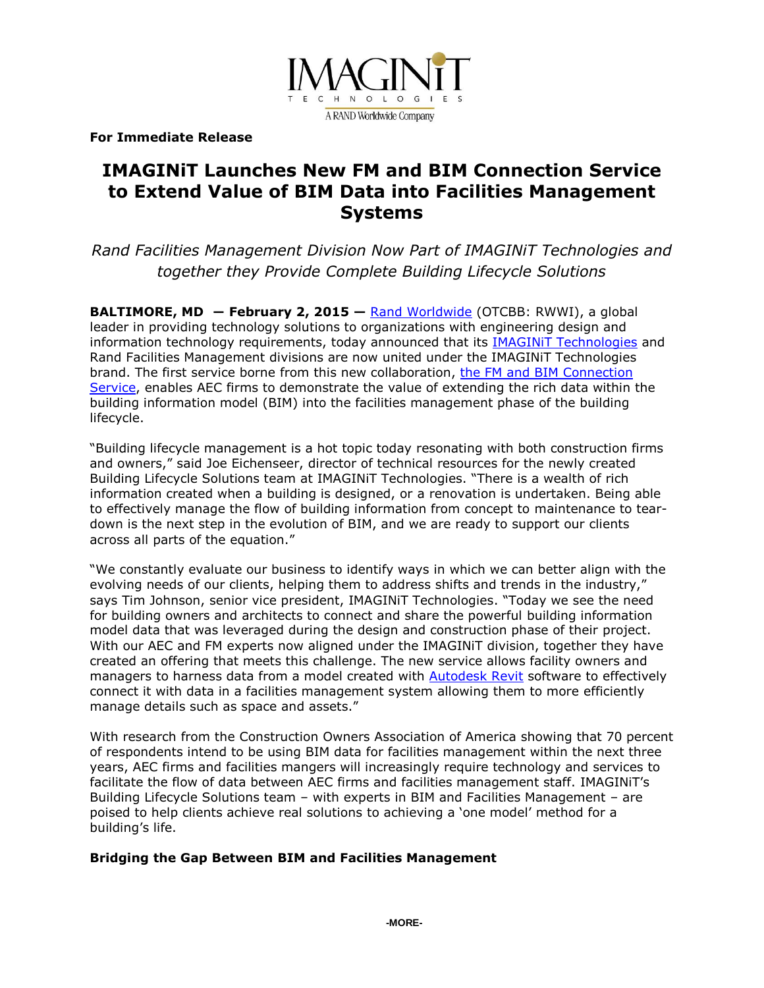

**For Immediate Release** 

# **IMAGINiT Launches New FM and BIM Connection Service to Extend Value of BIM Data into Facilities Management Systems**

*Rand Facilities Management Division Now Part of IMAGINiT Technologies and together they Provide Complete Building Lifecycle Solutions* 

**BALTIMORE, MD ― February 2, 2015 —** [Rand Worldwide](http://www.rand.com/) (OTCBB: RWWI), a global leader in providing technology solutions to organizations with engineering design and information technology requirements, today announced that its [IMAGINiT Technologies](http://www.imaginit.com/) and Rand Facilities Management divisions are now united under the IMAGINiT Technologies brand. The first service borne from this new collaboration, [the FM and BIM Connection](http://www.imaginit.com/services/consulting-professional/facilities-management/fm-to-bim-connection)  [Service,](http://www.imaginit.com/services/consulting-professional/facilities-management/fm-to-bim-connection) enables AEC firms to demonstrate the value of extending the rich data within the building information model (BIM) into the facilities management phase of the building lifecycle.

"Building lifecycle management is a hot topic today resonating with both construction firms and owners," said Joe Eichenseer, director of technical resources for the newly created Building Lifecycle Solutions team at IMAGINiT Technologies. "There is a wealth of rich information created when a building is designed, or a renovation is undertaken. Being able to effectively manage the flow of building information from concept to maintenance to teardown is the next step in the evolution of BIM, and we are ready to support our clients across all parts of the equation."

"We constantly evaluate our business to identify ways in which we can better align with the evolving needs of our clients, helping them to address shifts and trends in the industry," says Tim Johnson, senior vice president, IMAGINiT Technologies. "Today we see the need for building owners and architects to connect and share the powerful building information model data that was leveraged during the design and construction phase of their project. With our AEC and FM experts now aligned under the IMAGINiT division, together they have created an offering that meets this challenge. The new service allows facility owners and managers to harness data from a model created with [Autodesk Revit](http://www.imaginit.com/software/autodesk-products/revit) software to effectively connect it with data in a facilities management system allowing them to more efficiently manage details such as space and assets."

With research from the Construction Owners Association of America showing that 70 percent of respondents intend to be using BIM data for facilities management within the next three years, AEC firms and facilities mangers will increasingly require technology and services to facilitate the flow of data between AEC firms and facilities management staff. IMAGINiT's Building Lifecycle Solutions team – with experts in BIM and Facilities Management – are poised to help clients achieve real solutions to achieving a 'one model' method for a building's life.

### **Bridging the Gap Between BIM and Facilities Management**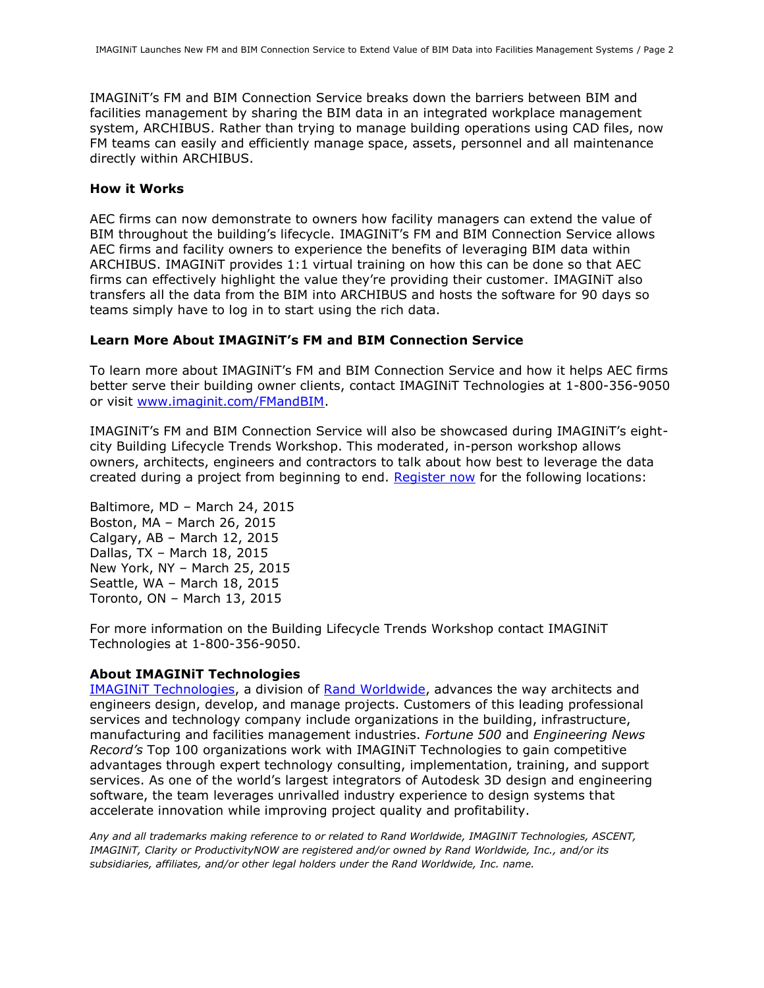IMAGINiT's FM and BIM Connection Service breaks down the barriers between BIM and facilities management by sharing the BIM data in an integrated workplace management system, ARCHIBUS. Rather than trying to manage building operations using CAD files, now FM teams can easily and efficiently manage space, assets, personnel and all maintenance directly within ARCHIBUS.

#### **How it Works**

AEC firms can now demonstrate to owners how facility managers can extend the value of BIM throughout the building's lifecycle. IMAGINiT's FM and BIM Connection Service allows AEC firms and facility owners to experience the benefits of leveraging BIM data within ARCHIBUS. IMAGINiT provides 1:1 virtual training on how this can be done so that AEC firms can effectively highlight the value they're providing their customer. IMAGINiT also transfers all the data from the BIM into ARCHIBUS and hosts the software for 90 days so teams simply have to log in to start using the rich data.

#### **Learn More About IMAGINiT's FM and BIM Connection Service**

To learn more about IMAGINiT's FM and BIM Connection Service and how it helps AEC firms better serve their building owner clients, contact IMAGINiT Technologies at 1-800-356-9050 or visit [www.imaginit.com/FMandBIM.](http://www.imaginit.com/FMandBIM)

IMAGINiT's FM and BIM Connection Service will also be showcased during IMAGINiT's eightcity Building Lifecycle Trends Workshop. This moderated, in-person workshop allows owners, architects, engineers and contractors to talk about how best to leverage the data created during a project from beginning to end. [Register now](http://www.imaginit.com/Events/Registration/eventid/a2w700000003DJTAA2) for the following locations:

Baltimore, MD – March 24, 2015 Boston, MA – March 26, 2015 Calgary, AB – March 12, 2015 Dallas, TX – March 18, 2015 New York, NY – March 25, 2015 Seattle, WA – March 18, 2015 Toronto, ON – March 13, 2015

For more information on the Building Lifecycle Trends Workshop contact IMAGINiT Technologies at 1-800-356-9050.

#### **About IMAGINiT Technologies**

[IMAGINiT Technologies,](http://www.imaginit.com/) a division of [Rand Worldwide,](http://www.rand.com/) advances the way architects and engineers design, develop, and manage projects. Customers of this leading professional services and technology company include organizations in the building, infrastructure, manufacturing and facilities management industries. *Fortune 500* and *Engineering News Record's* Top 100 organizations work with IMAGINiT Technologies to gain competitive advantages through expert technology consulting, implementation, training, and support services. As one of the world's largest integrators of Autodesk 3D design and engineering software, the team leverages unrivalled industry experience to design systems that accelerate innovation while improving project quality and profitability.

*Any and all trademarks making reference to or related to Rand Worldwide, IMAGINiT Technologies, ASCENT, IMAGINiT, Clarity or ProductivityNOW are registered and/or owned by Rand Worldwide, Inc., and/or its subsidiaries, affiliates, and/or other legal holders under the Rand Worldwide, Inc. name.*